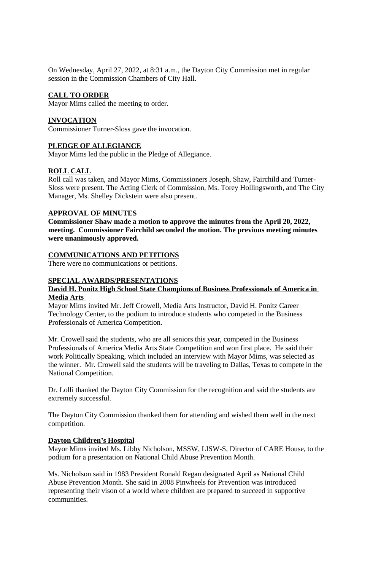On Wednesday, April 27, 2022, at 8:31 a.m., the Dayton City Commission met in regular session in the Commission Chambers of City Hall.

## **CALL TO ORDER**

Mayor Mims called the meeting to order.

## **INVOCATION**

Commissioner Turner-Sloss gave the invocation.

## **PLEDGE OF ALLEGIANCE**

Mayor Mims led the public in the Pledge of Allegiance.

## **ROLL CALL**

Roll call was taken, and Mayor Mims, Commissioners Joseph, Shaw, Fairchild and Turner-Sloss were present. The Acting Clerk of Commission, Ms. Torey Hollingsworth, and The City Manager, Ms. Shelley Dickstein were also present.

## **APPROVAL OF MINUTES**

**Commissioner Shaw made a motion to approve the minutes from the April 20, 2022, meeting. Commissioner Fairchild seconded the motion. The previous meeting minutes were unanimously approved.**

## **COMMUNICATIONS AND PETITIONS**

There were no communications or petitions.

## **SPECIAL AWARDS/PRESENTATIONS**

## **David H. Ponitz High School State Champions of Business Professionals of America in Media Arts**

Mayor Mims invited Mr. Jeff Crowell, Media Arts Instructor, David H. Ponitz Career Technology Center, to the podium to introduce students who competed in the Business Professionals of America Competition.

Mr. Crowell said the students, who are all seniors this year, competed in the Business Professionals of America Media Arts State Competition and won first place. He said their work Politically Speaking, which included an interview with Mayor Mims, was selected as the winner. Mr. Crowell said the students will be traveling to Dallas, Texas to compete in the National Competition.

Dr. Lolli thanked the Dayton City Commission for the recognition and said the students are extremely successful.

The Dayton City Commission thanked them for attending and wished them well in the next competition.

#### **Dayton Children's Hospital**

Mayor Mims invited Ms. Libby Nicholson, MSSW, LISW-S, Director of CARE House, to the podium for a presentation on National Child Abuse Prevention Month.

Ms. Nicholson said in 1983 President Ronald Regan designated April as National Child Abuse Prevention Month. She said in 2008 Pinwheels for Prevention was introduced representing their vison of a world where children are prepared to succeed in supportive communities.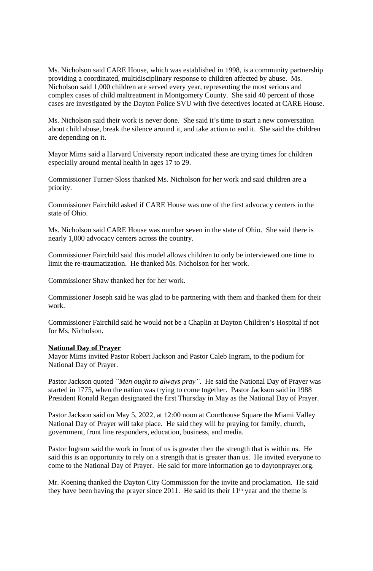Ms. Nicholson said CARE House, which was established in 1998, is a community partnership providing a coordinated, multidisciplinary response to children affected by abuse. Ms. Nicholson said 1,000 children are served every year, representing the most serious and complex cases of child maltreatment in Montgomery County. She said 40 percent of those cases are investigated by the Dayton Police SVU with five detectives located at CARE House.

Ms. Nicholson said their work is never done. She said it's time to start a new conversation about child abuse, break the silence around it, and take action to end it. She said the children are depending on it.

Mayor Mims said a Harvard University report indicated these are trying times for children especially around mental health in ages 17 to 29.

Commissioner Turner-Sloss thanked Ms. Nicholson for her work and said children are a priority.

Commissioner Fairchild asked if CARE House was one of the first advocacy centers in the state of Ohio.

Ms. Nicholson said CARE House was number seven in the state of Ohio. She said there is nearly 1,000 advocacy centers across the country.

Commissioner Fairchild said this model allows children to only be interviewed one time to limit the re-traumatization. He thanked Ms. Nicholson for her work.

Commissioner Shaw thanked her for her work.

Commissioner Joseph said he was glad to be partnering with them and thanked them for their work.

Commissioner Fairchild said he would not be a Chaplin at Dayton Children's Hospital if not for Ms. Nicholson.

#### **National Day of Prayer**

Mayor Mims invited Pastor Robert Jackson and Pastor Caleb Ingram, to the podium for National Day of Prayer.

Pastor Jackson quoted *"Men ought to always pray"*. He said the National Day of Prayer was started in 1775, when the nation was trying to come together. Pastor Jackson said in 1988 President Ronald Regan designated the first Thursday in May as the National Day of Prayer.

Pastor Jackson said on May 5, 2022, at 12:00 noon at Courthouse Square the Miami Valley National Day of Prayer will take place. He said they will be praying for family, church, government, front line responders, education, business, and media.

Pastor Ingram said the work in front of us is greater then the strength that is within us. He said this is an opportunity to rely on a strength that is greater than us. He invited everyone to come to the National Day of Prayer. He said for more information go to daytonprayer.org.

Mr. Koening thanked the Dayton City Commission for the invite and proclamation. He said they have been having the prayer since 2011. He said its their  $11<sup>th</sup>$  year and the theme is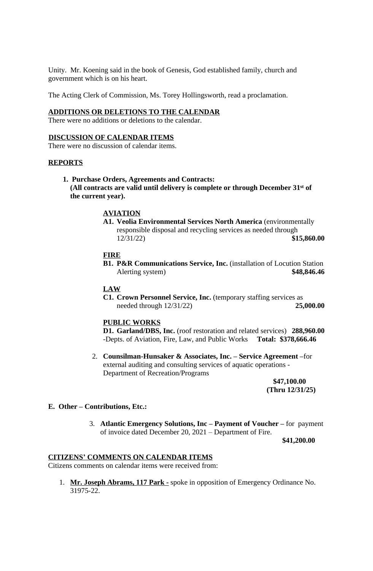Unity. Mr. Koening said in the book of Genesis, God established family, church and government which is on his heart.

The Acting Clerk of Commission, Ms. Torey Hollingsworth, read a proclamation.

## **ADDITIONS OR DELETIONS TO THE CALENDAR**

There were no additions or deletions to the calendar.

## **DISCUSSION OF CALENDAR ITEMS**

There were no discussion of calendar items.

## **REPORTS**

 **1. Purchase Orders, Agreements and Contracts:**

 **(All contracts are valid until delivery is complete or through December 31st of the current year).**

## **AVIATION**

**A1. Veolia Environmental Services North America** (environmentally responsible disposal and recycling services as needed through 12/31/22) **\$15,860.00**

## **FIRE**

**B1. P&R Communications Service, Inc.** (installation of Locution Station Alerting system) **\$48,846.46**

## **LAW**

**C1. Crown Personnel Service, Inc.** (temporary staffing services as needed through 12/31/22) **25,000.00**

## **PUBLIC WORKS**

**D1. Garland/DBS, Inc.** (roof restoration and related services) **288,960.00** -Depts. of Aviation, Fire, Law, and Public Works **Total: \$378,666.46**

2. **Counsilman-Hunsaker & Associates, Inc. – Service Agreement –**for external auditing and consulting services of aquatic operations - Department of Recreation/Programs

> **\$47,100.00 (Thru 12/31/25)**

#### **E. Other – Contributions, Etc.:**

3. **Atlantic Emergency Solutions, Inc – Payment of Voucher –** for payment of invoice dated December 20, 2021 – Department of Fire.

**\$41,200.00**

#### **CITIZENS' COMMENTS ON CALENDAR ITEMS**

Citizens comments on calendar items were received from:

1. **Mr. Joseph Abrams, 117 Park -** spoke in opposition of Emergency Ordinance No. 31975-22.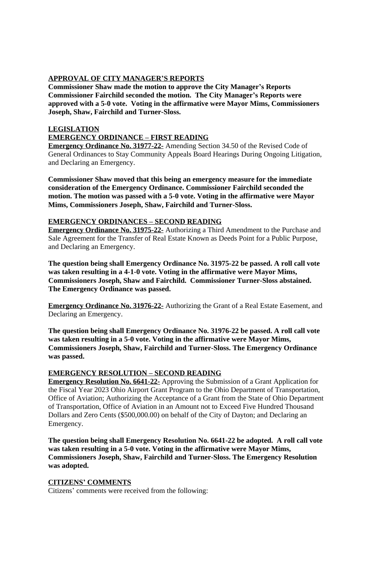# **APPROVAL OF CITY MANAGER'S REPORTS**

**Commissioner Shaw made the motion to approve the City Manager's Reports Commissioner Fairchild seconded the motion. The City Manager's Reports were approved with a 5-0 vote. Voting in the affirmative were Mayor Mims, Commissioners Joseph, Shaw, Fairchild and Turner-Sloss.**

# **LEGISLATION EMERGENCY ORDINANCE – FIRST READING**

**Emergency Ordinance No. 31977-22-** Amending Section 34.50 of the Revised Code of General Ordinances to Stay Community Appeals Board Hearings During Ongoing Litigation, and Declaring an Emergency.

**Commissioner Shaw moved that this being an emergency measure for the immediate consideration of the Emergency Ordinance. Commissioner Fairchild seconded the motion. The motion was passed with a 5-0 vote. Voting in the affirmative were Mayor Mims, Commissioners Joseph, Shaw, Fairchild and Turner-Sloss.**

## **EMERGENCY ORDINANCES – SECOND READING**

**Emergency Ordinance No. 31975-22-** Authorizing a Third Amendment to the Purchase and Sale Agreement for the Transfer of Real Estate Known as Deeds Point for a Public Purpose, and Declaring an Emergency.

**The question being shall Emergency Ordinance No. 31975-22 be passed. A roll call vote was taken resulting in a 4-1-0 vote. Voting in the affirmative were Mayor Mims, Commissioners Joseph, Shaw and Fairchild. Commissioner Turner-Sloss abstained. The Emergency Ordinance was passed.**

**Emergency Ordinance No. 31976-22-** Authorizing the Grant of a Real Estate Easement, and Declaring an Emergency.

**The question being shall Emergency Ordinance No. 31976-22 be passed. A roll call vote was taken resulting in a 5-0 vote. Voting in the affirmative were Mayor Mims, Commissioners Joseph, Shaw, Fairchild and Turner-Sloss. The Emergency Ordinance was passed.**

# **EMERGENCY RESOLUTION – SECOND READING**

**Emergency Resolution No. 6641-22-** Approving the Submission of a Grant Application for the Fiscal Year 2023 Ohio Airport Grant Program to the Ohio Department of Transportation, Office of Aviation; Authorizing the Acceptance of a Grant from the State of Ohio Department of Transportation, Office of Aviation in an Amount not to Exceed Five Hundred Thousand Dollars and Zero Cents (\$500,000.00) on behalf of the City of Dayton; and Declaring an Emergency.

**The question being shall Emergency Resolution No. 6641-22 be adopted. A roll call vote was taken resulting in a 5-0 vote. Voting in the affirmative were Mayor Mims, Commissioners Joseph, Shaw, Fairchild and Turner-Sloss. The Emergency Resolution was adopted.**

## **CITIZENS' COMMENTS**

Citizens' comments were received from the following: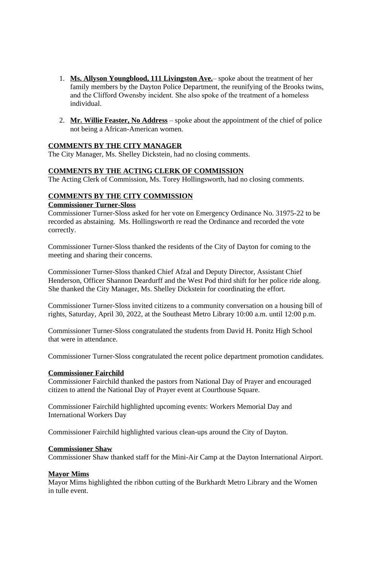- 1. **Ms. Allyson Youngblood, 111 Livingston Ave.** spoke about the treatment of her family members by the Dayton Police Department, the reunifying of the Brooks twins, and the Clifford Owensby incident. She also spoke of the treatment of a homeless individual.
- 2. **Mr. Willie Feaster, No Address** spoke about the appointment of the chief of police not being a African-American women.

## **COMMENTS BY THE CITY MANAGER**

The City Manager, Ms. Shelley Dickstein, had no closing comments.

## **COMMENTS BY THE ACTING CLERK OF COMMISSION**

The Acting Clerk of Commission, Ms. Torey Hollingsworth, had no closing comments.

## **COMMENTS BY THE CITY COMMISSION**

## **Commissioner Turner-Sloss**

Commissioner Turner-Sloss asked for her vote on Emergency Ordinance No. 31975-22 to be recorded as abstaining. Ms. Hollingsworth re read the Ordinance and recorded the vote correctly.

Commissioner Turner-Sloss thanked the residents of the City of Dayton for coming to the meeting and sharing their concerns.

Commissioner Turner-Sloss thanked Chief Afzal and Deputy Director, Assistant Chief Henderson, Officer Shannon Deardurff and the West Pod third shift for her police ride along. She thanked the City Manager, Ms. Shelley Dickstein for coordinating the effort.

Commissioner Turner-Sloss invited citizens to a community conversation on a housing bill of rights, Saturday, April 30, 2022, at the Southeast Metro Library 10:00 a.m. until 12:00 p.m.

Commissioner Turner-Sloss congratulated the students from David H. Ponitz High School that were in attendance.

Commissioner Turner-Sloss congratulated the recent police department promotion candidates.

#### **Commissioner Fairchild**

Commissioner Fairchild thanked the pastors from National Day of Prayer and encouraged citizen to attend the National Day of Prayer event at Courthouse Square.

Commissioner Fairchild highlighted upcoming events: Workers Memorial Day and International Workers Day

Commissioner Fairchild highlighted various clean-ups around the City of Dayton.

#### **Commissioner Shaw**

Commissioner Shaw thanked staff for the Mini-Air Camp at the Dayton International Airport.

#### **Mayor Mims**

Mayor Mims highlighted the ribbon cutting of the Burkhardt Metro Library and the Women in tulle event.